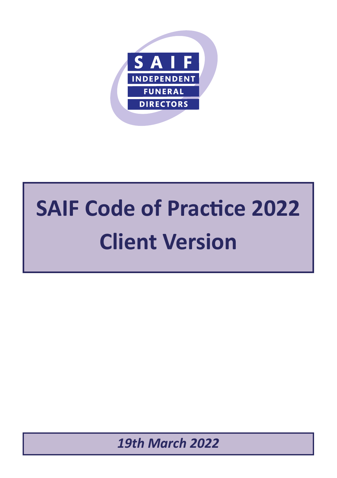

# **SAIF Code of Practice 2022 Client Version**

*19th March 2022*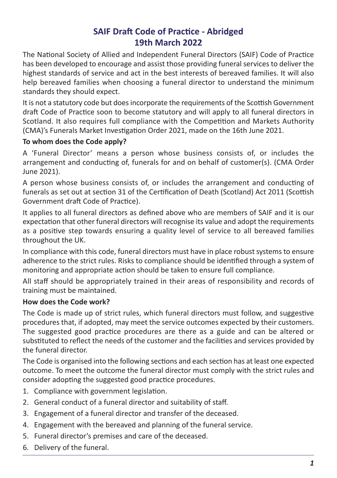# **SAIF Draft Code of Practice - Abridged 19th March 2022**

The National Society of Allied and Independent Funeral Directors (SAIF) Code of Practice has been developed to encourage and assist those providing funeral services to deliver the highest standards of service and act in the best interests of bereaved families. It will also help bereaved families when choosing a funeral director to understand the minimum standards they should expect.

It is not a statutory code but does incorporate the requirements of the Scottish Government draft Code of Practice soon to become statutory and will apply to all funeral directors in Scotland. It also requires full compliance with the Competition and Markets Authority (CMA)'s Funerals Market Investigation Order 2021, made on the 16th June 2021.

#### **To whom does the Code apply?**

A 'Funeral Director' means a person whose business consists of, or includes the arrangement and conducting of, funerals for and on behalf of customer(s). (CMA Order June 2021).

A person whose business consists of, or includes the arrangement and conducting of funerals as set out at section 31 of the Certification of Death (Scotland) Act 2011 (Scottish Government draft Code of Practice).

It applies to all funeral directors as defined above who are members of SAIF and it is our expectation that other funeral directors will recognise its value and adopt the requirements as a positive step towards ensuring a quality level of service to all bereaved families throughout the UK.

In compliance with this code, funeral directors must have in place robust systems to ensure adherence to the strict rules. Risks to compliance should be identified through a system of monitoring and appropriate action should be taken to ensure full compliance.

All staff should be appropriately trained in their areas of responsibility and records of training must be maintained.

#### **How does the Code work?**

The Code is made up of strict rules, which funeral directors must follow, and suggestive procedures that, if adopted, may meet the service outcomes expected by their customers. The suggested good practice procedures are there as a guide and can be altered or substituted to reflect the needs of the customer and the facilities and services provided by the funeral director.

The Code is organised into the following sections and each section has at least one expected outcome. To meet the outcome the funeral director must comply with the strict rules and consider adopting the suggested good practice procedures.

- 1. Compliance with government legislation.
- 2. General conduct of a funeral director and suitability of staff.
- 3. Engagement of a funeral director and transfer of the deceased.
- 4. Engagement with the bereaved and planning of the funeral service.
- 5. Funeral director's premises and care of the deceased.
- 6. Delivery of the funeral.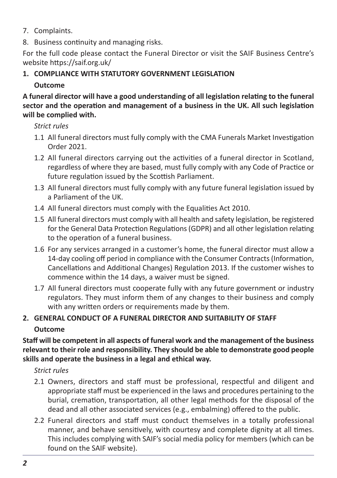- 7. Complaints.
- 8. Business continuity and managing risks.

For the full code please contact the Funeral Director or visit the SAIF Business Centre's website https://saif.org.uk/

**1. COMPLIANCE WITH STATUTORY GOVERNMENT LEGISLATION**

# **Outcome**

#### **A funeral director will have a good understanding of all legislation relating to the funeral sector and the operation and management of a business in the UK. All such legislation will be complied with.**

# *Strict rules*

- 1.1 All funeral directors must fully comply with the CMA Funerals Market Investigation Order 2021.
- 1.2 All funeral directors carrying out the activities of a funeral director in Scotland, regardless of where they are based, must fully comply with any Code of Practice or future regulation issued by the Scottish Parliament.
- 1.3 All funeral directors must fully comply with any future funeral legislation issued by a Parliament of the UK.
- 1.4 All funeral directors must comply with the Equalities Act 2010.
- 1.5 All funeral directors must comply with all health and safety legislation, be registered for the General Data Protection Regulations(GDPR) and all other legislation relating to the operation of a funeral business.
- 1.6 For any services arranged in a customer's home, the funeral director must allow a 14-day cooling off period in compliance with the Consumer Contracts(Information, Cancellations and Additional Changes) Regulation 2013. If the customer wishes to commence within the 14 days, a waiver must be signed.
- 1.7 All funeral directors must cooperate fully with any future government or industry regulators. They must inform them of any changes to their business and comply with any written orders or requirements made by them.

# **2. GENERAL CONDUCT OF A FUNERAL DIRECTOR AND SUITABILITY OF STAFF Outcome**

**Staff will be competent in all aspects of funeral work and the management of the business relevant to their role and responsibility. They should be able to demonstrate good people skills and operate the business in a legal and ethical way.**

# *Strict rules*

- 2.1 Owners, directors and staff must be professional, respectful and diligent and appropriate staff must be experienced in the laws and procedures pertaining to the burial, cremation, transportation, all other legal methods for the disposal of the dead and all other associated services (e.g., embalming) offered to the public.
- 2.2 Funeral directors and staff must conduct themselves in a totally professional manner, and behave sensitively, with courtesy and complete dignity at all times. This includes complying with SAIF's social media policy for members (which can be found on the SAIF website).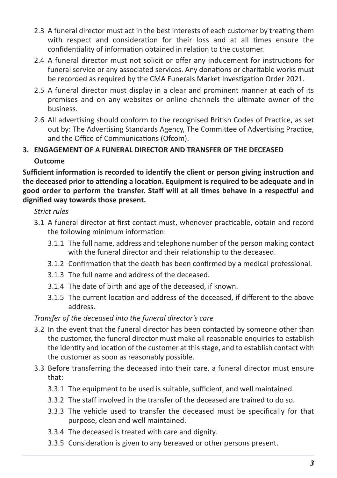- 2.3 A funeral director must act in the best interests of each customer by treating them with respect and consideration for their loss and at all times ensure the confidentiality of information obtained in relation to the customer.
- 2.4 A funeral director must not solicit or offer any inducement for instructions for funeral service or any associated services. Any donations or charitable works must be recorded as required by the CMA Funerals Market Investigation Order 2021.
- 2.5 A funeral director must display in a clear and prominent manner at each of its premises and on any websites or online channels the ultimate owner of the business.
- 2.6 All advertising should conform to the recognised British Codes of Practice, as set out by: The Advertising Standards Agency, The Committee of Advertising Practice, and the Office of Communications (Ofcom).
- **3. ENGAGEMENT OF A FUNERAL DIRECTOR AND TRANSFER OF THE DECEASED Outcome**

**Sufficient information is recorded to identify the client or person giving instruction and the deceased prior to attending a location. Equipment is required to be adequate and in good order to perform the transfer. Staff will at all times behave in a respectful and dignified way towards those present.**

#### *Strict rules*

- 3.1 A funeral director at first contact must, whenever practicable, obtain and record the following minimum information:
	- 3.1.1 The full name, address and telephone number of the person making contact with the funeral director and their relationship to the deceased.
	- 3.1.2 Confirmation that the death has been confirmed by a medical professional.
	- 3.1.3 The full name and address of the deceased.
	- 3.1.4 The date of birth and age of the deceased, if known.
	- 3.1.5 The current location and address of the deceased, if different to the above address.

#### *Transfer of the deceased into the funeral director's care*

- 3.2 In the event that the funeral director has been contacted by someone other than the customer, the funeral director must make all reasonable enquiries to establish the identity and location of the customer at thisstage, and to establish contact with the customer as soon as reasonably possible.
- 3.3 Before transferring the deceased into their care, a funeral director must ensure that:
	- 3.3.1 The equipment to be used is suitable, sufficient, and well maintained.
	- 3.3.2 The staff involved in the transfer of the deceased are trained to do so.
	- 3.3.3 The vehicle used to transfer the deceased must be specifically for that purpose, clean and well maintained.
	- 3.3.4 The deceased is treated with care and dignity.
	- 3.3.5 Consideration is given to any bereaved or other persons present.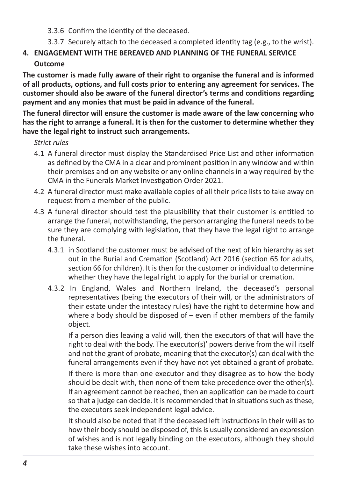- 3.3.6 Confirm the identity of the deceased.
- 3.3.7 Securely attach to the deceased a completed identity tag (e.g., to the wrist).

# **4. ENGAGEMENT WITH THE BEREAVED AND PLANNING OF THE FUNERAL SERVICE**

#### **Outcome**

**The customer is made fully aware of their right to organise the funeral and is informed of all products, options, and full costs prior to entering any agreement for services. The customer should also be aware of the funeral director's terms and conditions regarding payment and any monies that must be paid in advance of the funeral.**

**The funeral director will ensure the customer is made aware of the law concerning who has the right to arrange a funeral. It is then for the customer to determine whether they have the legal right to instruct such arrangements.**

#### *Strict rules*

- 4.1 A funeral director must display the Standardised Price List and other information as defined by the CMA in a clear and prominent position in any window and within their premises and on any website or any online channels in a way required by the CMA in the Funerals Market Investigation Order 2021.
- 4.2 A funeral director must make available copies of all their price lists to take away on request from a member of the public.
- 4.3 A funeral director should test the plausibility that their customer is entitled to arrange the funeral, notwithstanding, the person arranging the funeral needs to be sure they are complying with legislation, that they have the legal right to arrange the funeral.
	- 4.3.1 in Scotland the customer must be advised of the next of kin hierarchy as set out in the Burial and Cremation (Scotland) Act 2016 (section 65 for adults, section 66 for children). It is then for the customer or individual to determine whether they have the legal right to apply for the burial or cremation.
	- 4.3.2 In England, Wales and Northern Ireland, the deceased's personal representatives (being the executors of their will, or the administrators of their estate under the intestacy rules) have the right to determine how and where a body should be disposed of – even if other members of the family object.

If a person dies leaving a valid will, then the executors of that will have the right to deal with the body. The executor(s)' powers derive from the will itself and not the grant of probate, meaning that the executor(s) can deal with the funeral arrangements even if they have not yet obtained a grant of probate.

If there is more than one executor and they disagree as to how the body should be dealt with, then none of them take precedence over the other(s). If an agreement cannot be reached, then an application can be made to court so that a judge can decide. It is recommended that in situations such as these, the executors seek independent legal advice.

It should also be noted that if the deceased left instructions in their will as to how their body should be disposed of, this is usually considered an expression of wishes and is not legally binding on the executors, although they should take these wishes into account.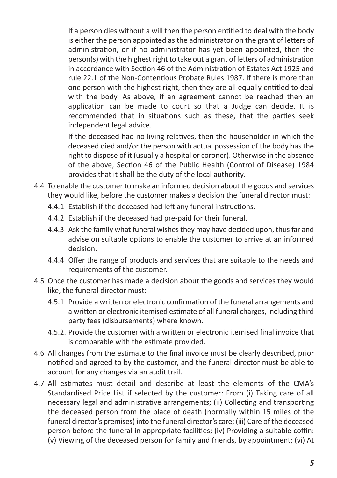If a person dies without a will then the person entitled to deal with the body is either the person appointed as the administrator on the grant of letters of administration, or if no administrator has yet been appointed, then the person(s) with the highest right to take out a grant of letters of administration in accordance with Section 46 of the Administration of Estates Act 1925 and rule 22.1 of the Non-Contentious Probate Rules 1987. If there is more than one person with the highest right, then they are all equally entitled to deal with the body. As above, if an agreement cannot be reached then an application can be made to court so that a Judge can decide. It is recommended that in situations such as these, that the parties seek independent legal advice.

If the deceased had no living relatives, then the householder in which the deceased died and/or the person with actual possession of the body has the right to dispose of it (usually a hospital or coroner). Otherwise in the absence of the above, Section 46 of the Public Health (Control of Disease) 1984 provides that it shall be the duty of the local authority.

- 4.4 To enable the customer to make an informed decision about the goods and services they would like, before the customer makes a decision the funeral director must:
	- 4.4.1 Establish if the deceased had left any funeral instructions.
	- 4.4.2 Establish if the deceased had pre-paid for their funeral.
	- 4.4.3 Ask the family what funeral wishes they may have decided upon, thus far and advise on suitable options to enable the customer to arrive at an informed decision.
	- 4.4.4 Offer the range of products and services that are suitable to the needs and requirements of the customer.
- 4.5 Once the customer has made a decision about the goods and services they would like, the funeral director must:
	- 4.5.1 Provide a written or electronic confirmation of the funeral arrangements and a written or electronic itemised estimate of all funeral charges, including third party fees (disbursements) where known.
	- 4.5.2. Provide the customer with a written or electronic itemised final invoice that is comparable with the estimate provided.
- 4.6 All changes from the estimate to the final invoice must be clearly described, prior notified and agreed to by the customer, and the funeral director must be able to account for any changes via an audit trail.
- 4.7 All estimates must detail and describe at least the elements of the CMA's Standardised Price List if selected by the customer: From (i) Taking care of all necessary legal and administrative arrangements; (ii) Collecting and transporting the deceased person from the place of death (normally within 15 miles of the funeral director's premises) into the funeral director's care; (iii) Care of the deceased person before the funeral in appropriate facilities; (iv) Providing a suitable coffin: (v) Viewing of the deceased person for family and friends, by appointment; (vi) At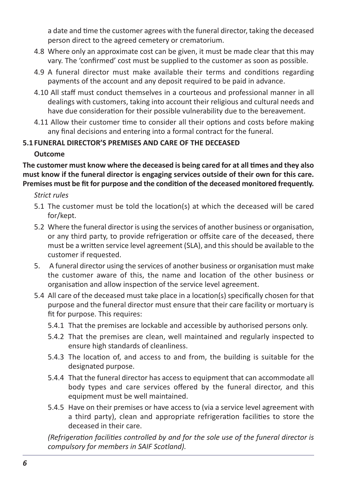a date and time the customer agrees with the funeral director, taking the deceased person direct to the agreed cemetery or crematorium.

- 4.8 Where only an approximate cost can be given, it must be made clear that this may vary. The 'confirmed' cost must be supplied to the customer as soon as possible.
- 4.9 A funeral director must make available their terms and conditions regarding payments of the account and any deposit required to be paid in advance.
- 4.10 All staff must conduct themselves in a courteous and professional manner in all dealings with customers, taking into account their religious and cultural needs and have due consideration for their possible vulnerability due to the bereavement.
- 4.11 Allow their customer time to consider all their options and costs before making any final decisions and entering into a formal contract for the funeral.

# **5.1 FUNERAL DIRECTOR'S PREMISES AND CARE OF THE DECEASED**

# **Outcome**

**The customer must know where the deceased is being cared for at all times and they also must know if the funeral director is engaging services outside of their own for this care. Premises must be fit for purpose and the condition of the deceased monitored frequently.**

*Strict rules*

- 5.1 The customer must be told the location(s) at which the deceased will be cared for/kept.
- 5.2 Where the funeral director is using the services of another business or organisation, or any third party, to provide refrigeration or offsite care of the deceased, there must be a written service level agreement (SLA), and thisshould be available to the customer if requested.
- 5. A funeral director using the services of another business or organisation must make the customer aware of this, the name and location of the other business or organisation and allow inspection of the service level agreement.
- 5.4 All care of the deceased must take place in a location(s) specifically chosen for that purpose and the funeral director must ensure that their care facility or mortuary is fit for purpose. This requires:
	- 5.4.1 That the premises are lockable and accessible by authorised persons only.
	- 5.4.2 That the premises are clean, well maintained and regularly inspected to ensure high standards of cleanliness.
	- 5.4.3 The location of, and access to and from, the building is suitable for the designated purpose.
	- 5.4.4 That the funeral director has access to equipment that can accommodate all body types and care services offered by the funeral director, and this equipment must be well maintained.
	- 5.4.5 Have on their premises or have access to (via a service level agreement with a third party), clean and appropriate refrigeration facilities to store the deceased in their care.

*(Refrigeration facilities controlled by and for the sole use of the funeral director is compulsory for members in SAIF Scotland).*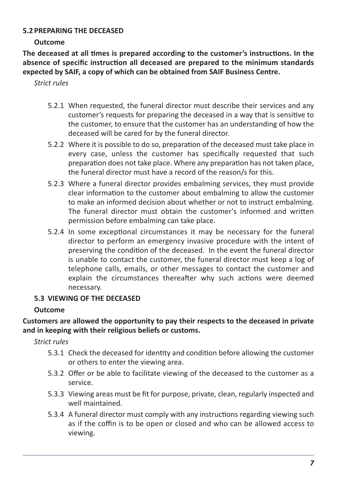#### **5.2 PREPARING THE DECEASED**

#### **Outcome**

**The deceased at all times is prepared according to the customer's instructions. In the absence of specific instruction all deceased are prepared to the minimum standards expected by SAIF, a copy of which can be obtained from SAIF Business Centre.**

*Strict rules*

- 5.2.1 When requested, the funeral director must describe their services and any customer's requests for preparing the deceased in a way that is sensitive to the customer, to ensure that the customer has an understanding of how the deceased will be cared for by the funeral director.
- 5.2.2 Where it is possible to do so, preparation of the deceased must take place in every case, unless the customer has specifically requested that such preparation does not take place. Where any preparation has not taken place, the funeral director must have a record of the reason/s for this.
- 5.2.3 Where a funeral director provides embalming services, they must provide clear information to the customer about embalming to allow the customer to make an informed decision about whether or not to instruct embalming. The funeral director must obtain the customer's informed and written permission before embalming can take place.
- 5.2.4 In some exceptional circumstances it may be necessary for the funeral director to perform an emergency invasive procedure with the intent of preserving the condition of the deceased. In the event the funeral director is unable to contact the customer, the funeral director must keep a log of telephone calls, emails, or other messages to contact the customer and explain the circumstances thereafter why such actions were deemed necessary.

# **5.3 VIEWING OF THE DECEASED**

# **Outcome**

#### **Customers are allowed the opportunity to pay their respects to the deceased in private and in keeping with their religious beliefs or customs.**

*Strict rules*

- 5.3.1 Check the deceased for identity and condition before allowing the customer or others to enter the viewing area.
- 5.3.2 Offer or be able to facilitate viewing of the deceased to the customer as a service.
- 5.3.3 Viewing areas must be fit for purpose, private, clean, regularly inspected and well maintained.
- 5.3.4 A funeral director must comply with any instructions regarding viewing such as if the coffin is to be open or closed and who can be allowed access to viewing.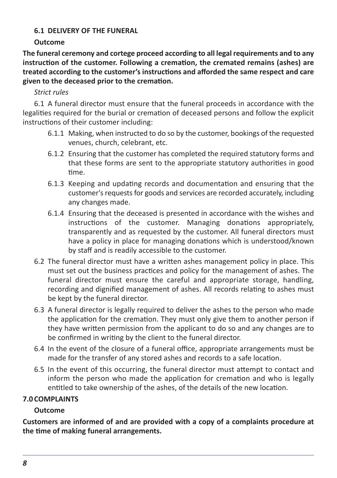#### **6.1 DELIVERY OF THE FUNERAL**

#### **Outcome**

**The funeral ceremony and cortege proceed according to all legal requirements and to any instruction of the customer. Following a cremation, the cremated remains (ashes) are treated according to the customer's instructions and afforded the same respect and care given to the deceased prior to the cremation.**

# *Strict rules*

6.1 A funeral director must ensure that the funeral proceeds in accordance with the legalities required for the burial or cremation of deceased persons and follow the explicit instructions of their customer including:

- 6.1.1 Making, when instructed to do so by the customer, bookings of the requested venues, church, celebrant, etc.
- 6.1.2 Ensuring that the customer has completed the required statutory forms and that these forms are sent to the appropriate statutory authorities in good time.
- 6.1.3 Keeping and updating records and documentation and ensuring that the customer's requests for goods and services are recorded accurately, including any changes made.
- 6.1.4 Ensuring that the deceased is presented in accordance with the wishes and instructions of the customer. Managing donations appropriately, transparently and as requested by the customer. All funeral directors must have a policy in place for managing donations which is understood/known by staff and is readily accessible to the customer.
- 6.2 The funeral director must have a written ashes management policy in place. This must set out the business practices and policy for the management of ashes. The funeral director must ensure the careful and appropriate storage, handling, recording and dignified management of ashes. All records relating to ashes must be kept by the funeral director.
- 6.3 A funeral director is legally required to deliver the ashes to the person who made the application for the cremation. They must only give them to another person if they have written permission from the applicant to do so and any changes are to be confirmed in writing by the client to the funeral director.
- 6.4 In the event of the closure of a funeral office, appropriate arrangements must be made for the transfer of any stored ashes and records to a safe location.
- 6.5 In the event of this occurring, the funeral director must attempt to contact and inform the person who made the application for cremation and who is legally entitled to take ownership of the ashes, of the details of the new location.

# **7.0 COMPLAINTS**

# **Outcome**

**Customers are informed of and are provided with a copy of a complaints procedure at the time of making funeral arrangements.**